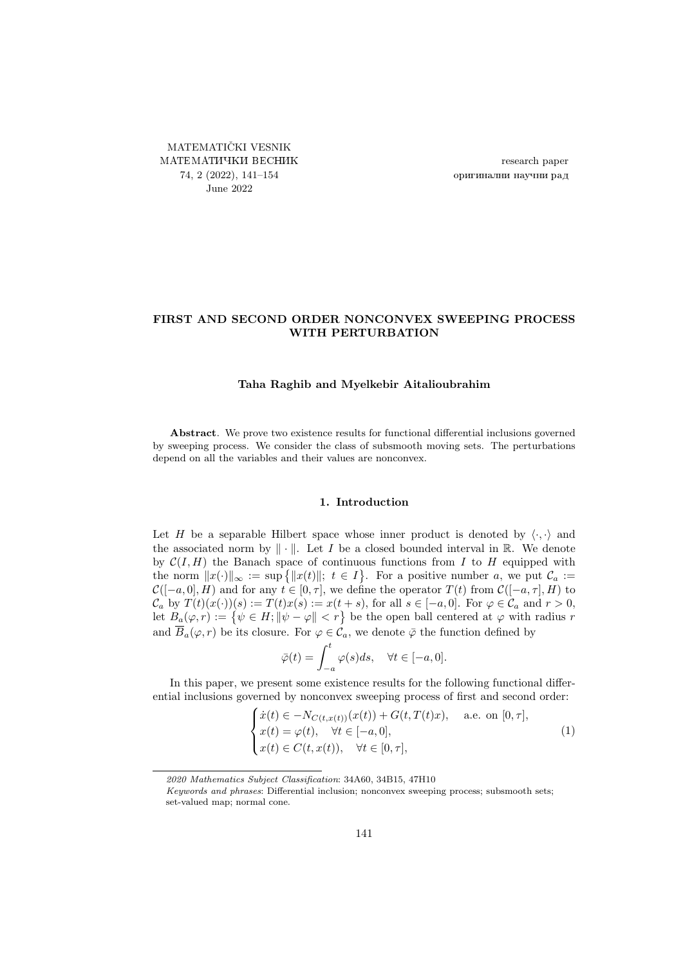<span id="page-0-0"></span>MATEMATIČKI VESNIK МАТЕМАТИЧКИ ВЕСНИК 74, 2 (2022), [141–](#page-0-0)[154](#page-13-0) June 2022

research paper оригинални научни рад

# FIRST AND SECOND ORDER NONCONVEX SWEEPING PROCESS WITH PERTURBATION

### Taha Raghib and Myelkebir Aitalioubrahim

Abstract. We prove two existence results for functional differential inclusions governed by sweeping process. We consider the class of subsmooth moving sets. The perturbations depend on all the variables and their values are nonconvex.

### 1. Introduction

Let H be a separable Hilbert space whose inner product is denoted by  $\langle \cdot, \cdot \rangle$  and the associated norm by  $\|\cdot\|$ . Let I be a closed bounded interval in R. We denote by  $\mathcal{C}(I, H)$  the Banach space of continuous functions from I to H equipped with the norm  $||x(\cdot)||_{\infty} := \sup \{||x(t)||; t \in I\}$ . For a positive number a, we put  $\mathcal{C}_a :=$  $\mathcal{C}([-a, 0], H)$  and for any  $t \in [0, \tau]$ , we define the operator  $T(t)$  from  $\mathcal{C}([-a, \tau], H)$  to  $\mathcal{C}_a$  by  $T(t)(x(\cdot))(s) := T(t)x(s) := x(t+s)$ , for all  $s \in [-a, 0]$ . For  $\varphi \in \mathcal{C}_a$  and  $r > 0$ , let  $B_a(\varphi, r) := \{ \psi \in H; ||\psi - \varphi|| < r \}$  be the open ball centered at  $\varphi$  with radius r and  $\overline{B}_a(\varphi, r)$  be its closure. For  $\varphi \in \mathcal{C}_a$ , we denote  $\overline{\varphi}$  the function defined by

<span id="page-0-1"></span>
$$
\bar{\varphi}(t) = \int_{-a}^{t} \varphi(s)ds, \quad \forall t \in [-a, 0].
$$

In this paper, we present some existence results for the following functional differential inclusions governed by nonconvex sweeping process of first and second order:

$$
\begin{cases}\n\dot{x}(t) \in -N_{C(t,x(t))}(x(t)) + G(t,T(t)x), & \text{a.e. on } [0,\tau], \\
x(t) = \varphi(t), \quad \forall t \in [-a,0], \\
x(t) \in C(t,x(t)), \quad \forall t \in [0,\tau],\n\end{cases}
$$
\n(1)

<sup>2020</sup> Mathematics Subject Classification: 34A60, 34B15, 47H10

Keywords and phrases: Differential inclusion; nonconvex sweeping process; subsmooth sets; set-valued map; normal cone.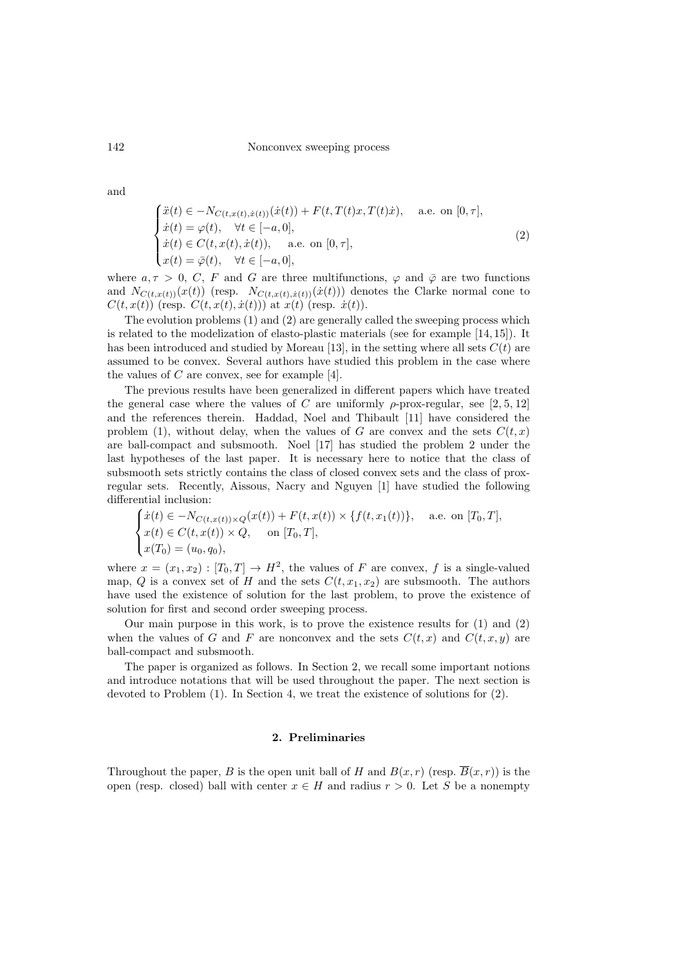<span id="page-1-0"></span>
$$
\begin{cases}\n\ddot{x}(t) \in -N_{C(t,x(t),\dot{x}(t))}(\dot{x}(t)) + F(t,T(t)x,T(t)\dot{x}), & \text{a.e. on } [0,\tau], \\
\dot{x}(t) = \varphi(t), \quad \forall t \in [-a,0], \\
\dot{x}(t) \in C(t,x(t),\dot{x}(t)), & \text{a.e. on } [0,\tau], \\
x(t) = \bar{\varphi}(t), \quad \forall t \in [-a,0],\n\end{cases}
$$
\n(2)

where  $a, \tau > 0$ , C, F and G are three multifunctions,  $\varphi$  and  $\bar{\varphi}$  are two functions and  $N_{C(t,x(t))}(x(t))$  (resp.  $N_{C(t,x(t),\dot{x}(t))}(\dot{x}(t))$ ) denotes the Clarke normal cone to  $C(t, x(t))$  (resp.  $C(t, x(t), \dot{x}(t))$ ) at  $x(t)$  (resp.  $\dot{x}(t)$ ).

The evolution problems [\(1\)](#page-0-1) and [\(2\)](#page-1-0) are generally called the sweeping process which is related to the modelization of elasto-plastic materials (see for example [\[14,](#page-13-1) [15\]](#page-13-2)). It has been introduced and studied by Moreau [\[13\]](#page-13-3), in the setting where all sets  $C(t)$  are assumed to be convex. Several authors have studied this problem in the case where the values of  $C$  are convex, see for example [\[4\]](#page-13-4).

The previous results have been generalized in different papers which have treated the general case where the values of C are uniformly  $\rho$ -prox-regular, see [\[2,](#page-13-5) [5,](#page-13-6) [12\]](#page-13-7) and the references therein. Haddad, Noel and Thibault [\[11\]](#page-13-8) have considered the problem [\(1\)](#page-0-1), without delay, when the values of G are convex and the sets  $C(t, x)$ are ball-compact and subsmooth. Noel [\[17\]](#page-13-9) has studied the problem [2](#page-1-0) under the last hypotheses of the last paper. It is necessary here to notice that the class of subsmooth sets strictly contains the class of closed convex sets and the class of proxregular sets. Recently, Aissous, Nacry and Nguyen [\[1\]](#page-13-10) have studied the following differential inclusion:

$$
\begin{cases}\n\dot{x}(t) \in -N_{C(t,x(t))\times Q}(x(t)) + F(t, x(t)) \times \{f(t, x_1(t))\}, & \text{a.e. on } [T_0, T], \\
x(t) \in C(t, x(t)) \times Q, & \text{on } [T_0, T], \\
x(T_0) = (u_0, q_0),\n\end{cases}
$$

where  $x = (x_1, x_2) : [T_0, T] \to H^2$ , the values of F are convex, f is a single-valued map, Q is a convex set of H and the sets  $C(t, x_1, x_2)$  are subsmooth. The authors have used the existence of solution for the last problem, to prove the existence of solution for first and second order sweeping process.

Our main purpose in this work, is to prove the existence results for [\(1\)](#page-0-1) and [\(2\)](#page-1-0) when the values of G and F are nonconvex and the sets  $C(t, x)$  and  $C(t, x, y)$  are ball-compact and subsmooth.

<span id="page-1-1"></span>The paper is organized as follows. In Section [2,](#page-1-1) we recall some important notions and introduce notations that will be used throughout the paper. The next section is devoted to Problem [\(1\)](#page-0-1). In Section [4,](#page-8-0) we treat the existence of solutions for [\(2\)](#page-1-0).

## 2. Preliminaries

Throughout the paper, B is the open unit ball of H and  $B(x, r)$  (resp.  $\overline{B}(x, r)$ ) is the open (resp. closed) ball with center  $x \in H$  and radius  $r > 0$ . Let S be a nonempty

and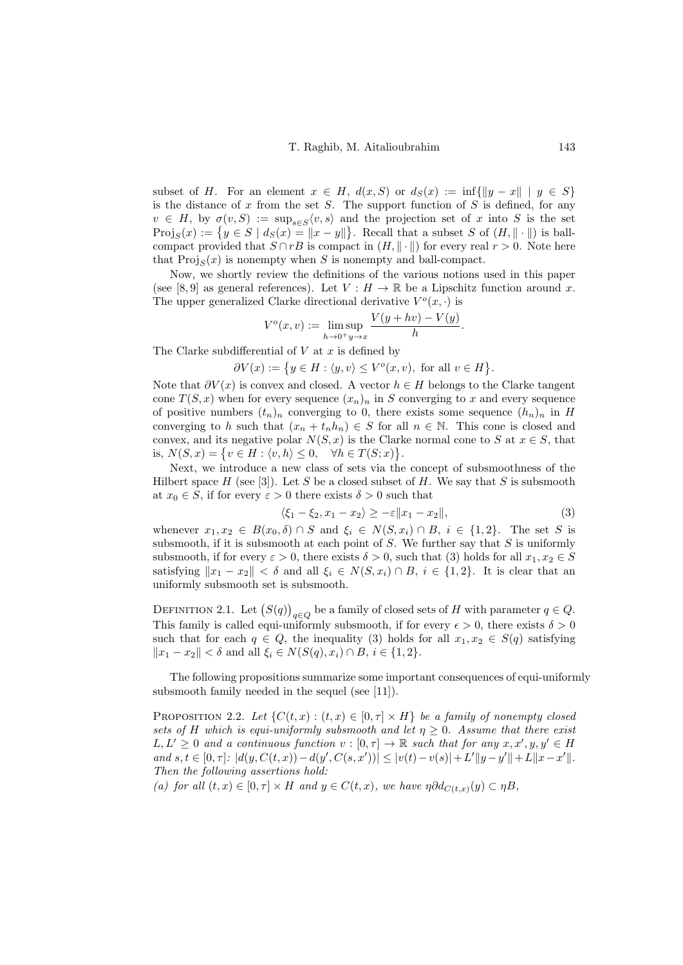subset of H. For an element  $x \in H$ ,  $d(x, S)$  or  $d_S(x) := \inf\{||y - x|| \mid y \in S\}$ is the distance of  $x$  from the set  $S$ . The support function of  $S$  is defined, for any  $v \in H$ , by  $\sigma(v, S) := \sup_{s \in S} \langle v, s \rangle$  and the projection set of x into S is the set  $\text{Proj}_S(x) := \{ y \in S \mid d_S(x) = ||x - y|| \}.$  Recall that a subset S of  $(H, \|\cdot\|)$  is ballcompact provided that  $S \cap rB$  is compact in  $(H, \|\cdot\|)$  for every real  $r > 0$ . Note here that  $\text{Proj}_{S}(x)$  is nonempty when S is nonempty and ball-compact.

Now, we shortly review the definitions of the various notions used in this paper (see [\[8,](#page-13-11)9] as general references). Let  $V : H \to \mathbb{R}$  be a Lipschitz function around x. The upper generalized Clarke directional derivative  $V^o(x, \cdot)$  is

$$
V^{o}(x, v) := \limsup_{h \to 0^{+}} \frac{V(y + hv) - V(y)}{h}.
$$

The Clarke subdifferential of  $V$  at  $x$  is defined by

 $\partial V(x) := \{ y \in H : \langle y, v \rangle \leq V^o(x, v), \text{ for all } v \in H \}.$ 

Note that  $\partial V(x)$  is convex and closed. A vector  $h \in H$  belongs to the Clarke tangent cone  $T(S, x)$  when for every sequence  $(x_n)_n$  in S converging to x and every sequence of positive numbers  $(t_n)_n$  converging to 0, there exists some sequence  $(h_n)_n$  in H converging to h such that  $(x_n + t_n h_n) \in S$  for all  $n \in \mathbb{N}$ . This cone is closed and convex, and its negative polar  $N(S, x)$  is the Clarke normal cone to S at  $x \in S$ , that is,  $N(S, x) = \{v \in H : \langle v, h \rangle \leq 0, \quad \forall h \in T(S; x)\}.$ 

Next, we introduce a new class of sets via the concept of subsmoothness of the Hilbert space  $H$  (see [\[3\]](#page-13-13)). Let S be a closed subset of H. We say that S is subsmooth at  $x_0 \in S$ , if for every  $\varepsilon > 0$  there exists  $\delta > 0$  such that

<span id="page-2-0"></span>
$$
\langle \xi_1 - \xi_2, x_1 - x_2 \rangle \ge -\varepsilon \|x_1 - x_2\|,\tag{3}
$$

whenever  $x_1, x_2 \in B(x_0, \delta) \cap S$  and  $\xi_i \in N(S, x_i) \cap B$ ,  $i \in \{1, 2\}$ . The set S is subsmooth, if it is subsmooth at each point of  $S$ . We further say that  $S$  is uniformly subsmooth, if for every  $\varepsilon > 0$ , there exists  $\delta > 0$ , such that [\(3\)](#page-2-0) holds for all  $x_1, x_2 \in S$ satisfying  $||x_1 - x_2|| < \delta$  and all  $\xi_i \in N(S, x_i) \cap B$ ,  $i \in \{1, 2\}$ . It is clear that an uniformly subsmooth set is subsmooth.

DEFINITION 2.1. Let  $(S(q))_{q \in Q}$  be a family of closed sets of H with parameter  $q \in Q$ . This family is called equi-uniformly subsmooth, if for every  $\epsilon > 0$ , there exists  $\delta > 0$ such that for each  $q \in Q$ , the inequality [\(3\)](#page-2-0) holds for all  $x_1, x_2 \in S(q)$  satisfying  $||x_1 - x_2|| < \delta$  and all  $\xi_i$  ∈  $N(S(q), x_i) \cap B$ ,  $i \in \{1, 2\}.$ 

The following propositions summarize some important consequences of equi-uniformly subsmooth family needed in the sequel (see [\[11\]](#page-13-8)).

PROPOSITION 2.2. Let  $\{C(t,x): (t,x) \in [0,\tau] \times H\}$  be a family of nonempty closed sets of H which is equi-uniformly subsmooth and let  $\eta \geq 0$ . Assume that there exist  $L, L' \geq 0$  and a continuous function  $v : [0, \tau] \to \mathbb{R}$  such that for any  $x, x', y, y' \in H$ and  $s, t \in [0, \tau]: |d(y, C(t, x)) - d(y', C(s, x'))| \leq |v(t) - v(s)| + L'||y - y'|| + L||x - x'||$ . Then the following assertions hold:

(a) for all  $(t, x) \in [0, \tau] \times H$  and  $y \in C(t, x)$ , we have  $\eta \partial d_{C(t, x)}(y) \subset \eta B$ ,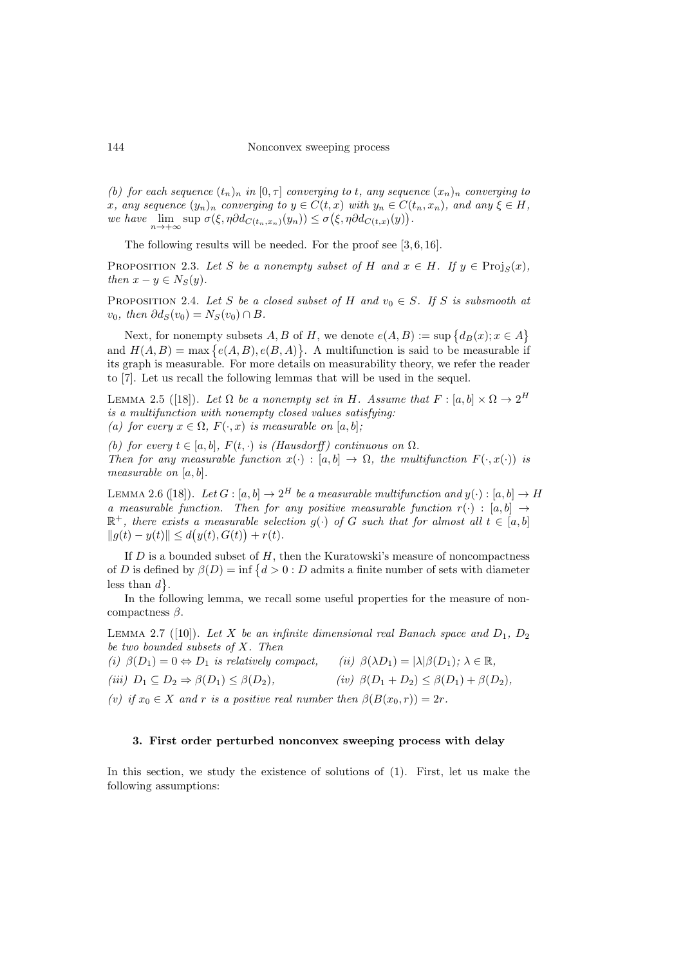(b) for each sequence  $(t_n)_n$  in  $[0, \tau]$  converging to t, any sequence  $(x_n)_n$  converging to x, any sequence  $(y_n)_n$  converging to  $y \in C(t, x)$  with  $y_n \in C(t_n, x_n)$ , and any  $\xi \in H$ , we have  $\lim_{n\to+\infty} \sup \sigma(\xi, \eta \partial d_{C(t_n,x_n)}(y_n)) \leq \sigma(\xi, \eta \partial d_{C(t,x)}(y)).$ 

The following results will be needed. For the proof see [\[3,](#page-13-13) [6,](#page-13-14) [16\]](#page-13-15).

PROPOSITION 2.3. Let S be a nonempty subset of H and  $x \in H$ . If  $y \in \text{Proj}_S(x)$ , then  $x - y \in N_S(y)$ .

PROPOSITION 2.4. Let S be a closed subset of H and  $v_0 \in S$ . If S is subsmooth at  $v_0$ , then  $\partial d_S(v_0) = N_S(v_0) \cap B$ .

Next, for nonempty subsets  $A, B$  of  $H$ , we denote  $e(A, B) := \sup \{ d_B(x) : x \in A \}$ and  $H(A, B) = \max \{e(A, B), e(B, A)\}\$ . A multifunction is said to be measurable if its graph is measurable. For more details on measurability theory, we refer the reader to [\[7\]](#page-13-16). Let us recall the following lemmas that will be used in the sequel.

<span id="page-3-5"></span>LEMMA 2.5 ([\[18\]](#page-13-17)). Let  $\Omega$  be a nonempty set in H. Assume that  $F : [a, b] \times \Omega \to 2^H$ is a multifunction with nonempty closed values satisfying: (a) for every  $x \in \Omega$ ,  $F(\cdot, x)$  is measurable on [a, b];

(b) for every  $t \in [a, b]$ ,  $F(t, \cdot)$  is (Hausdorff) continuous on  $\Omega$ . Then for any measurable function  $x(\cdot) : [a, b] \to \Omega$ , the multifunction  $F(\cdot, x(\cdot))$  is measurable on  $[a, b]$ .

<span id="page-3-0"></span>LEMMA 2.6 ([\[18\]](#page-13-17)). Let  $G : [a, b] \to 2^H$  be a measurable multifunction and  $y(\cdot) : [a, b] \to H$ a measurable function. Then for any positive measurable function  $r(\cdot)$ :  $[a, b] \rightarrow$  $\mathbb{R}^+$ , there exists a measurable selection  $g(\cdot)$  of G such that for almost all  $t \in [a, b]$  $||g(t) - y(t)|| \leq d(y(t), G(t)) + r(t).$ 

If  $D$  is a bounded subset of  $H$ , then the Kuratowski's measure of noncompactness of D is defined by  $\beta(D) = \inf \{ d > 0 : D \text{ admits a finite number of sets with diameter} \}$ less than  $d$ .

In the following lemma, we recall some useful properties for the measure of noncompactness  $\beta$ .

<span id="page-3-1"></span>LEMMA 2.7 ([\[10\]](#page-13-18)). Let X be an infinite dimensional real Banach space and  $D_1$ ,  $D_2$ be two bounded subsets of X. Then

<span id="page-3-3"></span>(i)  $\beta(D_1) = 0 \Leftrightarrow D_1$  is relatively compact, (ii)  $\beta(\lambda D_1) = |\lambda| \beta(D_1); \lambda \in \mathbb{R}$ ,

$$
(iii) D_1 \subseteq D_2 \Rightarrow \beta(D_1) \leq \beta(D_2), \qquad \qquad (iv) \ \beta(D_1 + D_2) \leq \beta(D_1) + \beta(D_2),
$$

<span id="page-3-4"></span>(v) if  $x_0 \in X$  and r is a positive real number then  $\beta(B(x_0, r)) = 2r$ .

### <span id="page-3-2"></span>3. First order perturbed nonconvex sweeping process with delay

In this section, we study the existence of solutions of [\(1\)](#page-0-1). First, let us make the following assumptions: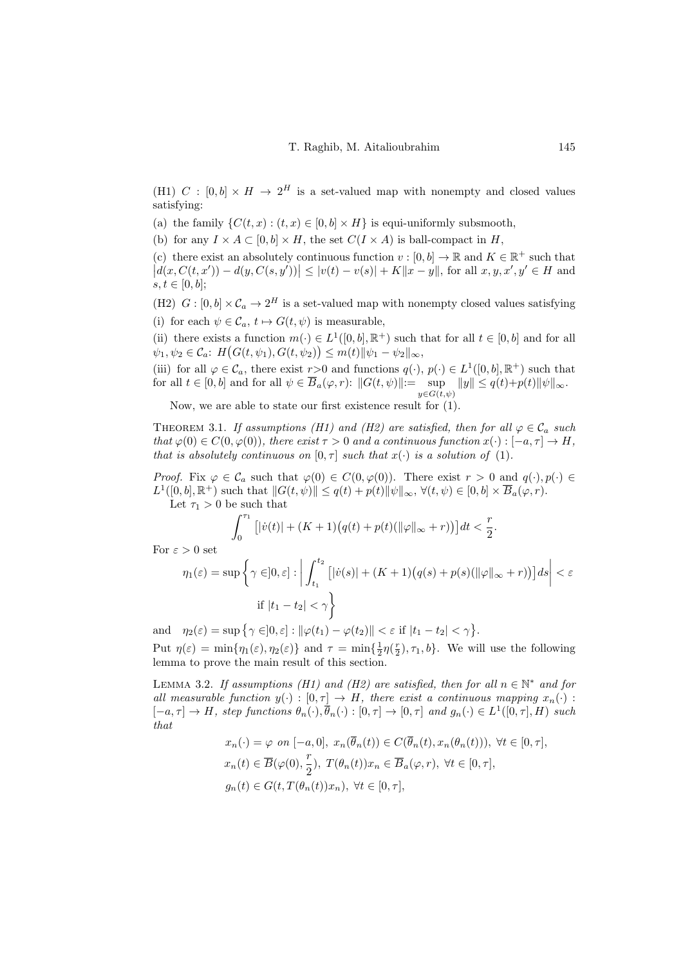<span id="page-4-0"></span>(H1) C :  $[0,b] \times H \rightarrow 2^H$  is a set-valued map with nonempty and closed values satisfying:

(a) the family  $\{C(t, x) : (t, x) \in [0, b] \times H\}$  is equi-uniformly subsmooth,

(b) for any  $I \times A \subset [0, b] \times H$ , the set  $C(I \times A)$  is ball-compact in H,

<span id="page-4-4"></span>(c) there exist an absolutely continuous function  $v : [0, b] \to \mathbb{R}$  and  $K \in \mathbb{R}^+$  such that  $|d(x, C(t, x')) - d(y, C(s, y'))| \leq |v(t) - v(s)| + K||x - y||$ , for all  $x, y, x', y' \in H$  and  $s, t \in [0, b];$ 

<span id="page-4-1"></span>(H2)  $G : [0, b] \times C_a \to 2^H$  is a set-valued map with nonempty closed values satisfying (i) for each  $\psi \in \mathcal{C}_a$ ,  $t \mapsto G(t, \psi)$  is measurable.

(ii) there exists a function  $m(\cdot) \in L^1([0, b], \mathbb{R}^+)$  such that for all  $t \in [0, b]$  and for all  $\psi_1, \psi_2 \in C_a$ :  $H\big(G(t, \psi_1), G(t, \psi_2)\big) \leq m(t) ||\psi_1 - \psi_2||_{\infty},$ 

(iii) for all  $\varphi \in \mathcal{C}_a$ , there exist  $r > 0$  and functions  $q(\cdot), p(\cdot) \in L^1([0, b], \mathbb{R}^+)$  such that for all  $t \in [0, b]$  and for all  $\psi \in \overline{B}_a(\varphi, r)$ :  $||G(t, \psi)|| := \sup_{y \in G(t, \psi)} ||y|| \le q(t) + p(t) ||\psi||_{\infty}$ .

Now, we are able to state our first existence result for [\(1\)](#page-0-1).

<span id="page-4-2"></span>THEOREM 3.1. If assumptions [\(H1\)](#page-4-0) and [\(H2\)](#page-4-1) are satisfied, then for all  $\varphi \in \mathcal{C}_a$  such that  $\varphi(0) \in C(0, \varphi(0))$ , there exist  $\tau > 0$  and a continuous function  $x(\cdot) : [-a, \tau] \to H$ , that is absolutely continuous on  $[0, \tau]$  such that  $x(\cdot)$  is a solution of [\(1\)](#page-0-1).

*Proof.* Fix  $\varphi \in \mathcal{C}_a$  such that  $\varphi(0) \in C(0, \varphi(0))$ . There exist  $r > 0$  and  $q(\cdot), p(\cdot) \in$  $L^1([0, b], \mathbb{R}^+)$  such that  $||G(t, \psi)|| \leq q(t) + p(t)||\psi||_{\infty}$ ,  $\forall (t, \psi) \in [0, b] \times \overline{B}_a(\varphi, r)$ . Let  $\tau_1 > 0$  be such that

$$
\int_0^{\tau_1} \left[|\dot v(t)| + (K+1)\big(q(t)+p(t)(\|\varphi\|_\infty+r)\big)\right]dt < \frac{r}{2}.
$$

For  $\varepsilon > 0$  set

$$
\eta_1(\varepsilon) = \sup \left\{ \gamma \in ]0, \varepsilon] : \left| \int_{t_1}^{t_2} \left[ |\dot{v}(s)| + (K+1)(q(s) + p(s)(\|\varphi\|_{\infty} + r)) \right] ds \right| < \varepsilon
$$
  
if  $|t_1 - t_2| < \gamma$ 

and  $\eta_2(\varepsilon) = \sup \{ \gamma \in ]0, \varepsilon] : ||\varphi(t_1) - \varphi(t_2)|| < \varepsilon \text{ if } |t_1 - t_2| < \gamma \}.$ Put  $\eta(\varepsilon) = \min\{\eta_1(\varepsilon), \eta_2(\varepsilon)\}\$  and  $\tau = \min\{\frac{1}{2}\eta(\frac{r}{2}), \tau_1, b\}$ . We will use the following lemma to prove the main result of this section.

<span id="page-4-3"></span>LEMMA 3.2. If assumptions [\(H1\)](#page-4-0) and [\(H2\)](#page-4-1) are satisfied, then for all  $n \in \mathbb{N}^*$  and for all measurable function  $y(\cdot): [0, \tau] \to H$ , there exist a continuous mapping  $x_n(\cdot):$  $[-a,\tau] \to H$ , step functions  $\theta_n(\cdot), \overline{\theta}_n(\cdot) : [0,\tau] \to [0,\tau]$  and  $g_n(\cdot) \in L^1([0,\tau], H)$  such that

$$
x_n(\cdot) = \varphi \text{ on } [-a, 0], \ x_n(\theta_n(t)) \in C(\theta_n(t), x_n(\theta_n(t))), \ \forall t \in [0, \tau],
$$
  

$$
x_n(t) \in \overline{B}(\varphi(0), \frac{r}{2}), \ T(\theta_n(t))x_n \in \overline{B}_a(\varphi, r), \ \forall t \in [0, \tau],
$$
  

$$
g_n(t) \in G(t, T(\theta_n(t))x_n), \ \forall t \in [0, \tau],
$$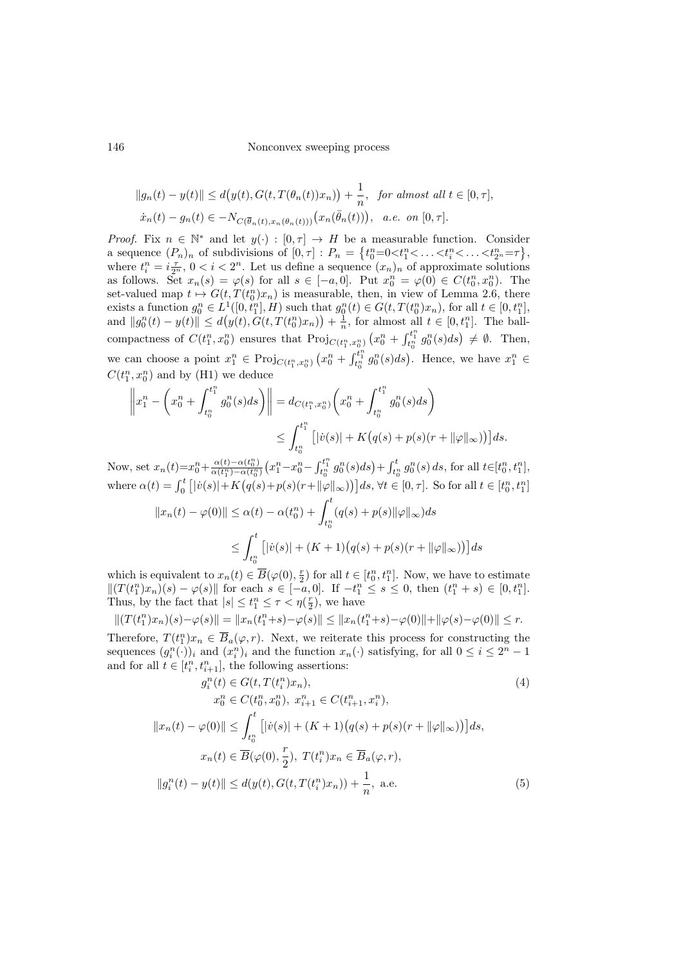### 146 Nonconvex sweeping process

$$
||g_n(t) - y(t)|| \le d\big(y(t), G(t, T(\theta_n(t))x_n)\big) + \frac{1}{n}, \text{ for almost all } t \in [0, \tau],
$$
  

$$
\dot{x}_n(t) - g_n(t) \in -N_{C(\overline{\theta}_n(t), x_n(\theta_n(t)))}\big(x_n(\overline{\theta}_n(t))\big), \text{ a.e. on } [0, \tau].
$$

*Proof.* Fix  $n \in \mathbb{N}^*$  and let  $y(\cdot) : [0, \tau] \to H$  be a measurable function. Consider a sequence  $(P_n)_n$  of subdivisions of  $[0, \tau] : P_n = \{t_0^n = 0 < t_1^n < \ldots < t_2^n = \tau\},\$ where  $t_i^n = i \frac{\tau}{2^n}$ ,  $0 < i < 2^n$ . Let us define a sequence  $(x_n)_n$  of approximate solutions as follows. Set  $x_n(s) = \varphi(s)$  for all  $s \in [-a, 0]$ . Put  $x_0^n = \varphi(0) \in C(t_0^n, x_0^n)$ . The set-valued map  $t \mapsto G(t, T(t_0^n)x_n)$  is measurable, then, in view of Lemma [2.6,](#page-3-0) there set-valued map  $t \mapsto G(t, T(t_0), t_n)$  is measurable, then, in view of Lemma 2.0, there exists a function  $g_0^n \in L^1([0, t_1^n], H)$  such that  $g_0^n(t) \in G(t, T(t_0^n), x_n)$ , for all  $t \in [0, t_1^n]$ , and  $||g_0^n(t) - y(t)|| \le d(y(t), G(t, T(t_0^n)x_n)) + \frac{1}{n}$ , for almost all  $t \in [0, t_1^n]$ . The ballcompactness of  $C(t_1^n, x_0^n)$  ensures that  $\text{Proj}_{C(t_1^n, x_0^n)}(x_0^n + \int_{t_0^n}^{t_1^n} g_0^n(s)ds) \neq \emptyset$ . Then, we can choose a point  $x_1^n \in \text{Proj}_{C(t_1^n, x_0^n)} (x_0^n + \int_{t_0^n}^{t_1^n} g_0^n(s) ds)$ . Hence, we have  $x_1^n \in$  $C(t_1^n, x_0^n)$  and by [\(H1\)](#page-4-0) we deduce

$$
\left\|x_1^n - \left(x_0^n + \int_{t_0^n}^{t_1^n} g_0^n(s)ds\right)\right\| = d_{C(t_1^n, x_0^n)} \left(x_0^n + \int_{t_0^n}^{t_1^n} g_0^n(s)ds\right)
$$
  

$$
\leq \int_{t_0^n}^{t_1^n} \left[|\dot{v}(s)| + K\left(q(s) + p(s)(r + \|\varphi\|_{\infty})\right)\right] ds.
$$

Now, set  $x_n(t)=x_0^n+\frac{\alpha(t)-\alpha(t_0^n)}{\alpha(t_1^n)-\alpha(t_0^n)}$  $\frac{\alpha(t)-\alpha(t_0^n)}{\alpha(t_1^n)-\alpha(t_0^n)}\left(x_1^n-x_0^n-\int_{t_0^n}^{t_1^n}g_0^n(s)ds\right)+\int_{t_0^n}^tg_0^n(s)\,ds, \,\text{for all}\,\, t\!\in\![t_0^n,t_1^n],$ where  $\alpha(t) = \int_0^t [|\dot{v}(s)| + K(q(s) + p(s)(r + ||\varphi||_{\infty}))] ds$ ,  $\forall t \in [0, \tau]$ . So for all  $t \in [t_0^n, t_1^n]$ 

$$
||x_n(t) - \varphi(0)|| \le \alpha(t) - \alpha(t_0^n) + \int_{t_0^n}^t (q(s) + p(s)||\varphi||_{\infty})ds
$$
  

$$
\le \int_{t_0^n}^t [|\dot{v}(s)| + (K+1)(q(s) + p(s)(r + ||\varphi||_{\infty}))]ds
$$

which is equivalent to  $x_n(t) \in \overline{B}(\varphi(0), \frac{r}{2})$  for all  $t \in [t_0^n, t_1^n]$ . Now, we have to estimate  $||(T(t_1^n)x_n)(s) - \varphi(s)||$  for each  $s \in [-a, 0]$ . If  $-t_1^n \leq s \leq 0$ , then  $(t_1^n + s) \in [0, t_1^n]$ . Thus, by the fact that  $|s| \le t_1^n \le \tau < \eta(\frac{r}{2})$ , we have

$$
|| (T(t_1^n)x_n)(s) - \varphi(s) || = ||x_n(t_1^n+s) - \varphi(s) || \le ||x_n(t_1^n+s) - \varphi(0)|| + ||\varphi(s) - \varphi(0)|| \le r.
$$

Therefore,  $T(t_1^n)x_n \in \overline{B}_a(\varphi, r)$ . Next, we reiterate this process for constructing the sequences  $(g_i^n(\cdot))_i$  and  $(x_i^n)_i$  and the function  $x_n(\cdot)$  satisfying, for all  $0 \le i \le 2^n - 1$ and for all  $t \in [t_i^n, t_{i+1}^n]$ , the following assertions:

<span id="page-5-1"></span><span id="page-5-0"></span>
$$
g_i^n(t) \in G(t, T(t_i^n)x_n),
$$
\n
$$
x_0^n \in C(t_0^n, x_0^n), x_{i+1}^n \in C(t_{i+1}^n, x_i^n),
$$
\n
$$
||x_n(t) - \varphi(0)|| \le \int_{t_0^n}^t [|v(s)| + (K+1)(q(s) + p(s)(r + ||\varphi||_{\infty}))] ds,
$$
\n
$$
x_n(t) \in \overline{B}(\varphi(0), \frac{r}{2}), T(t_i^n)x_n \in \overline{B}_a(\varphi, r),
$$
\n
$$
||g_i^n(t) - y(t)|| \le d(y(t), G(t, T(t_i^n)x_n)) + \frac{1}{n}, \text{ a.e.}
$$
\n(5)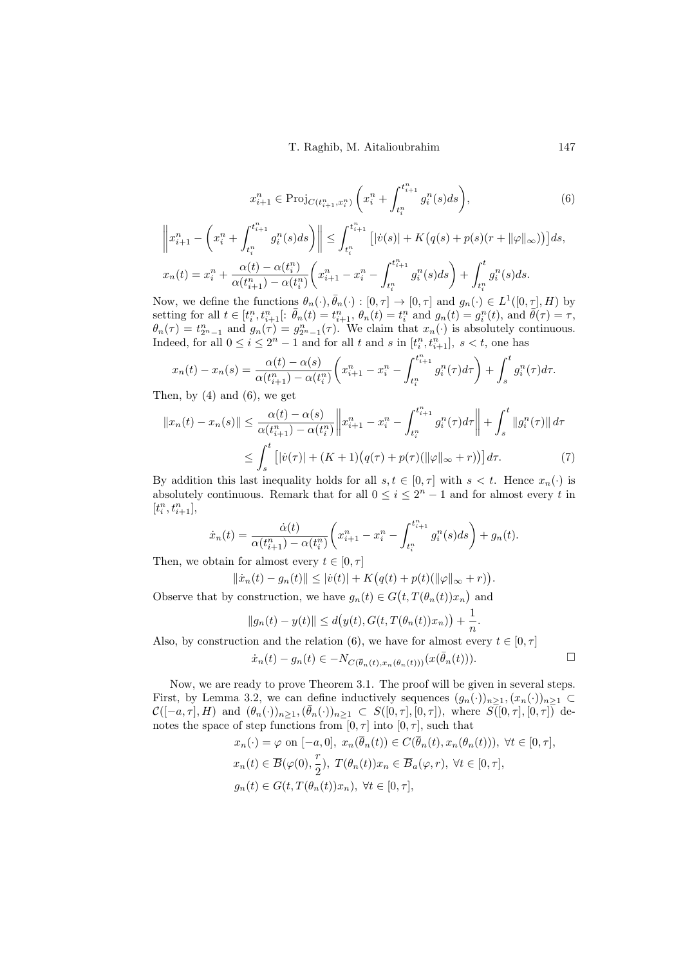$$
x_{i+1}^n \in \text{Proj}_{C(t_{i+1}^n, x_i^n)} \left( x_i^n + \int_{t_i^n}^{t_{i+1}^n} g_i^n(s) ds \right), \tag{6}
$$

$$
\left\|x_{i+1}^n - \left(x_i^n + \int_{t_i^n}^{t_{i+1}^n} g_i^n(s)ds\right)\right\| \le \int_{t_i^n}^{t_{i+1}^n} \left[|\dot{v}(s)| + K\left(q(s) + p(s)(r + \|\varphi\|_{\infty})\right)\right]ds,
$$
  

$$
x_n(t) = x_i^n + \frac{\alpha(t) - \alpha(t_i^n)}{\alpha(t_{i+1}^n) - \alpha(t_i^n)} \left(x_{i+1}^n - x_i^n - \int_{t_i^n}^{t_{i+1}^n} g_i^n(s)ds\right) + \int_{t_i^n}^t g_i^n(s)ds.
$$

Now, we define the functions  $\theta_n(\cdot), \bar{\theta}_n(\cdot) : [0, \tau] \to [0, \tau]$  and  $g_n(\cdot) \in L^1([0, \tau], H)$  by setting for all  $t \in [t_i^n, t_{i+1}^n[: \bar{\theta}_n(t) = t_{i+1}^n, \theta_n(t) = t_i^n]$  and  $g_n(t) = g_i^n(t)$ , and  $\bar{\theta}(\tau) = \tau$ ,  $\theta_n(\tau) = t_{2^n-1}^n$  and  $g_n(\tau) = g_{2^n-1}^n(\tau)$ . We claim that  $x_n(\cdot)$  is absolutely continuous. Indeed, for all  $0 \leq i \leq 2^n - 1$  and for all t and s in  $[t_i^n, t_{i+1}^n]$ ,  $s < t$ , one has

$$
x_n(t) - x_n(s) = \frac{\alpha(t) - \alpha(s)}{\alpha(t_{i+1}^n) - \alpha(t_i^n)} \left( x_{i+1}^n - x_i^n - \int_{t_i^n}^{t_{i+1}^n} g_i^n(\tau) d\tau \right) + \int_s^t g_i^n(\tau) d\tau.
$$

Then, by  $(4)$  and  $(6)$ , we get

$$
||x_n(t) - x_n(s)|| \leq \frac{\alpha(t) - \alpha(s)}{\alpha(t_{i+1}^n) - \alpha(t_i^n)} \left\| x_{i+1}^n - x_i^n - \int_{t_i^n}^{t_{i+1}^n} g_i^n(\tau) d\tau \right\| + \int_s^t ||g_i^n(\tau)|| d\tau
$$
  
\n
$$
\leq \int_s^t \left[ |\dot{v}(\tau)| + (K+1) \left( q(\tau) + p(\tau) (\|\varphi\|_{\infty} + r) \right) \right] d\tau. \tag{7}
$$

By addition this last inequality holds for all  $s, t \in [0, \tau]$  with  $s < t$ . Hence  $x_n(\cdot)$  is absolutely continuous. Remark that for all  $0 \leq i \leq 2^{n} - 1$  and for almost every t in  $[t_i^n,t_{i+1}^n],\,$ 

$$
\dot{x}_n(t) = \frac{\dot{\alpha}(t)}{\alpha(t_{i+1}^n) - \alpha(t_i^n)} \left( x_{i+1}^n - x_i^n - \int_{t_i^n}^{t_{i+1}^n} g_i^n(s) ds \right) + g_n(t).
$$

Then, we obtain for almost every  $t \in [0, \tau]$ 

$$
\|\dot{x}_n(t) - g_n(t)\| \le |\dot{v}(t)| + K\big(q(t) + p(t)(\|\varphi\|_{\infty} + r)\big)
$$

Observe that by construction, we have  $g_n(t) \in G(t, T(\theta_n(t))x_n)$  and

$$
||g_n(t) - y(t)|| \le d(y(t), G(t, T(\theta_n(t))x_n)) + \frac{1}{n}.
$$

Also, by construction and the relation [\(6\)](#page-6-0), we have for almost every  $t \in [0, \tau]$ 

$$
\dot{x}_n(t) - g_n(t) \in -N_{C(\bar{\theta}_n(t), x_n(\theta_n(t)))}(x(\bar{\theta}_n(t))). \qquad \Box
$$

<span id="page-6-1"></span>.

Now, we are ready to prove Theorem [3.1.](#page-4-2) The proof will be given in several steps. First, by Lemma [3.2,](#page-4-3) we can define inductively sequences  $(g_n(\cdot))_{n\geq 1},(x_n(\cdot))_{n\geq 1}\subset$  $\mathcal{C}([-a,\tau], H)$  and  $(\theta_n(\cdot))_{n \geq 1}, (\bar{\theta}_n(\cdot))_{n \geq 1} \subset S([0,\tau], [0,\tau]),$  where  $S([0,\tau], [0,\tau])$  denotes the space of step functions from  $[0, \tau]$  into  $[0, \tau]$ , such that

$$
x_n(\cdot) = \varphi \text{ on } [-a, 0], \ x_n(\overline{\theta}_n(t)) \in C(\overline{\theta}_n(t), x_n(\theta_n(t))), \ \forall t \in [0, \tau],
$$
  

$$
x_n(t) \in \overline{B}(\varphi(0), \frac{r}{2}), \ T(\theta_n(t))x_n \in \overline{B}_a(\varphi, r), \ \forall t \in [0, \tau],
$$
  

$$
g_n(t) \in G(t, T(\theta_n(t))x_n), \ \forall t \in [0, \tau],
$$

<span id="page-6-0"></span>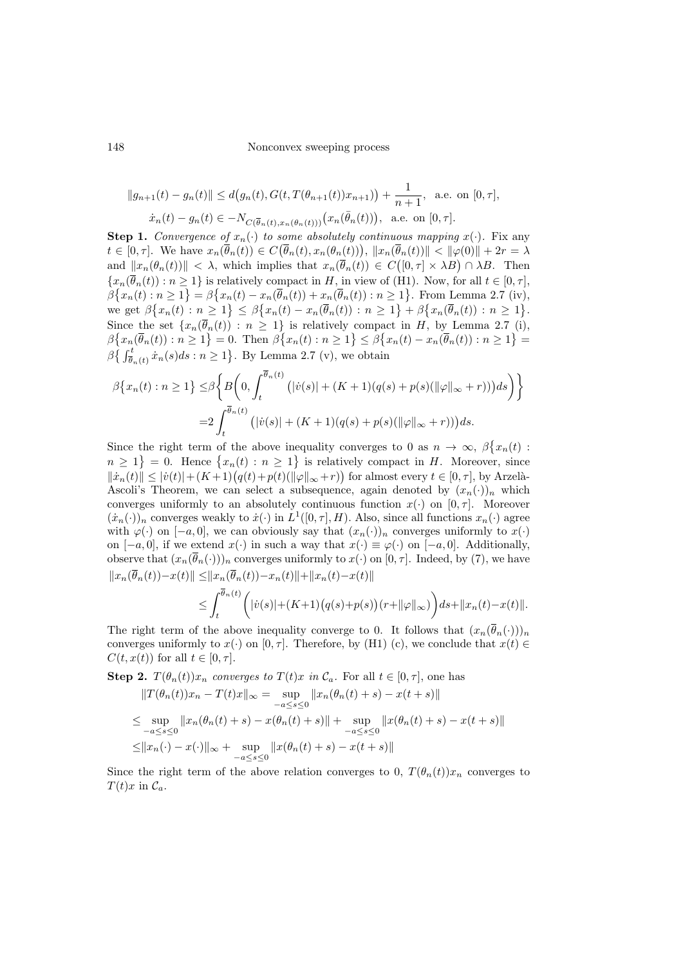148 Nonconvex sweeping process

$$
||g_{n+1}(t) - g_n(t)|| \le d(g_n(t), G(t, T(\theta_{n+1}(t))x_{n+1})) + \frac{1}{n+1}, \text{ a.e. on } [0, \tau],
$$
  

$$
\dot{x}_n(t) - g_n(t) \in -N_{C(\bar{\theta}_n(t), x_n(\theta_n(t)))}(x_n(\bar{\theta}_n(t))), \text{ a.e. on } [0, \tau].
$$

**Step 1.** Convergence of  $x_n(\cdot)$  to some absolutely continuous mapping  $x(\cdot)$ . Fix any  $t \in [0, \tau].$  We have  $x_n(\overline{\theta}_n(t)) \in C(\overline{\theta}_n(t), x_n(\theta_n(t)))$ ,  $||x_n(\overline{\theta}_n(t))|| < ||\varphi(0)|| + 2r = \lambda$ and  $||x_n(\theta_n(t))|| < \lambda$ , which implies that  $x_n(\overline{\theta}_n(t)) \in C([0,\tau] \times \lambda B) \cap \lambda B$ . Then  ${x_n(\bar{\theta}_n(t)) : n \ge 1}$  is relatively compact in H, in view of [\(H1\).](#page-4-0) Now, for all  $t \in [0, \tau]$ ,  $\beta\big\{x_n(t):n\geq 1\big\}=\beta\big\{x_n(t)-x_n(\overline{\theta}_n(t))+x_n(\overline{\theta}_n(t)):n\geq 1\big\}.$  From Lemma [2.7](#page-3-1) [\(iv\),](#page-3-2) we get  $\beta \{x_n(t) : n \geq 1\} \leq \beta \{x_n(t) - x_n(\overline{\theta}_n(t)) : n \geq 1\} + \beta \{x_n(\overline{\theta}_n(t)) : n \geq 1\}.$ Since the set  $\{x_n(\theta_n(t)) : n \geq 1\}$  is relatively compact in H, by Lemma [2.7](#page-3-1) [\(i\),](#page-3-3)  $\beta\big\{x_n(\overline{\theta}_n(t)):n\geq 1\big\}=0.$  Then  $\beta\big\{x_n(t):n\geq 1\big\}\leq \beta\big\{x_n(t)-x_n(\overline{\theta}_n(t)):n\geq 1\big\}=0.$  $\beta \{\int_{\bar{\theta}_n(t)}^t \dot{x}_n(s)ds : n \geq 1\}$ . By Lemma [2.7](#page-3-1) [\(v\),](#page-3-4) we obtain

$$
\beta\{x_n(t) : n \ge 1\} \le \beta\bigg\{B\bigg(0, \int_t^{\overline{\theta}_n(t)} (|v(s)| + (K+1)(q(s) + p(s)(\|\varphi\|_{\infty} + r)))ds\bigg)\bigg\}
$$
  
=2
$$
\int_t^{\overline{\theta}_n(t)} (|v(s)| + (K+1)(q(s) + p(s)(\|\varphi\|_{\infty} + r)))ds.
$$

Since the right term of the above inequality converges to 0 as  $n \to \infty$ ,  $\beta \{x_n(t)$ :  $n \geq 1$  = 0. Hence  $\{x_n(t) : n \geq 1\}$  is relatively compact in H. Moreover, since  $\|\dot{x}_n(t)\| \leq |\dot{v}(t)| + (K+1)(q(t) + p(t)(\|\varphi\|_{\infty} + r))$  for almost every  $t \in [0, \tau]$ , by Arzelà-Ascoli's Theorem, we can select a subsequence, again denoted by  $(x_n(\cdot))_n$  which converges uniformly to an absolutely continuous function  $x(\cdot)$  on  $[0, \tau]$ . Moreover  $(\dot{x}_n(\cdot))_n$  converges weakly to  $\dot{x}(\cdot)$  in  $L^1([0,\tau], H)$ . Also, since all functions  $x_n(\cdot)$  agree with  $\varphi(\cdot)$  on  $[-a, 0]$ , we can obviously say that  $(x_n(\cdot))_n$  converges uniformly to  $x(\cdot)$ on  $[-a, 0]$ , if we extend  $x(\cdot)$  in such a way that  $x(\cdot) \equiv \varphi(\cdot)$  on  $[-a, 0]$ . Additionally, observe that  $(x_n(\bar{\theta}_n(\cdot)))_n$  converges uniformly to  $x(\cdot)$  on  $[0, \tau]$ . Indeed, by [\(7\)](#page-6-1), we have  $||x_n(\bar{\theta}_n(t))-x(t)|| \leq ||x_n(\bar{\theta}_n(t))-x_n(t)||+||x_n(t)-x(t)||$ 

$$
\leq \int_t^{\overline{\theta}_n(t)} \biggl(|\dot{v}(s)| + (K+1)\bigl(q(s) + p(s)\bigr)(r + \|\varphi\|_{\infty})\biggr) ds + \|x_n(t) - x(t)\|.
$$

The right term of the above inequality converge to 0. It follows that  $(x_n(\bar{\theta}_n(\cdot)))_n$ converges uniformly to  $x(\cdot)$  on [0,  $\tau$ ]. Therefore, by [\(H1\)](#page-4-0) [\(c\),](#page-4-4) we conclude that  $x(t) \in$  $C(t, x(t))$  for all  $t \in [0, \tau]$ .

Step 2. 
$$
T(\theta_n(t))x_n
$$
 converges to 
$$
T(t)x
$$
 in  $\mathcal{C}_a$ . For all  $t \in [0, \tau]$ , one has 
$$
||T(\theta_n(t))x_n - T(t)x||_{\infty} = \sup_{-a \le s \le 0} ||x_n(\theta_n(t) + s) - x(t + s)||
$$

$$
\le \sup_{-a \le s \le 0} ||x_n(\theta_n(t) + s) - x(\theta_n(t) + s)|| + \sup_{-a \le s \le 0} ||x(\theta_n(t) + s) - x(t + s)||
$$

$$
\le ||x_n(\cdot) - x(\cdot)||_{\infty} + \sup_{-a \le s \le 0} ||x(\theta_n(t) + s) - x(t + s)||
$$

Since the right term of the above relation converges to 0,  $T(\theta_n(t))x_n$  converges to  $T(t)x$  in  $\mathcal{C}_a$ .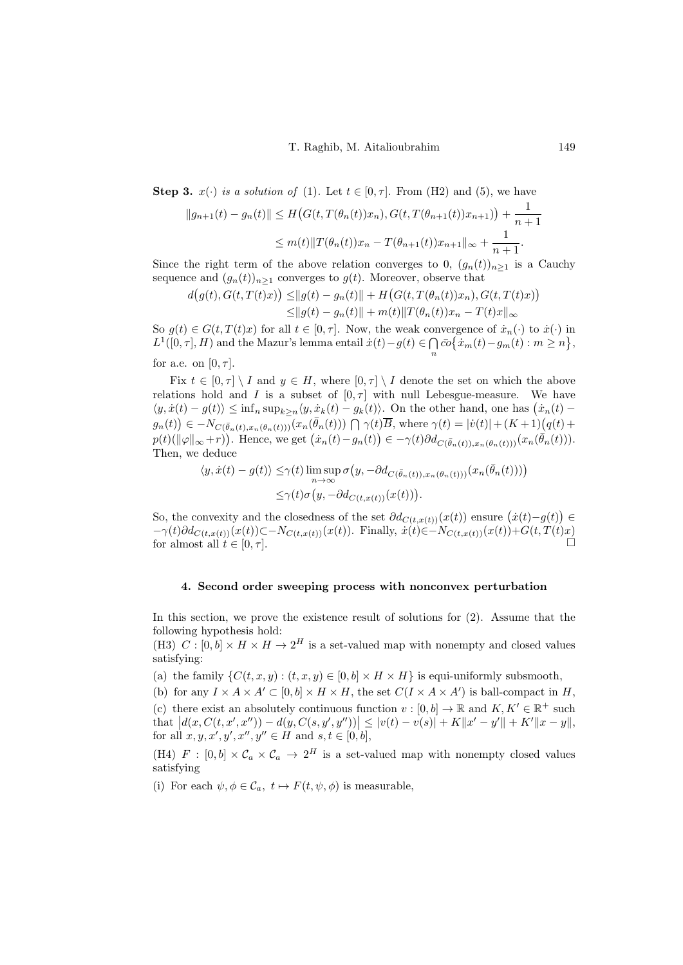Step 3.  $x(\cdot)$  is a solution of [\(1\)](#page-0-1). Let  $t \in [0, \tau]$ . From [\(H2\)](#page-4-1) and [\(5\)](#page-5-1), we have

$$
||g_{n+1}(t) - g_n(t)|| \le H\big(G(t, T(\theta_n(t))x_n), G(t, T(\theta_{n+1}(t))x_{n+1})\big) + \frac{1}{n+1}
$$
  

$$
\le m(t) ||T(\theta_n(t))x_n - T(\theta_{n+1}(t))x_{n+1}||_{\infty} + \frac{1}{n+1}.
$$

Since the right term of the above relation converges to 0,  $(g_n(t))_{n\geq 1}$  is a Cauchy sequence and  $(g_n(t))_{n\geq 1}$  converges to  $g(t)$ . Moreover, observe that

$$
d(g(t), G(t, T(t)x)) \le ||g(t) - g_n(t)|| + H(G(t, T(\theta_n(t))x_n), G(t, T(t)x))
$$
  
 
$$
\le ||g(t) - g_n(t)|| + m(t)||T(\theta_n(t))x_n - T(t)x||_{\infty}
$$

So  $g(t) \in G(t, T(t)x)$  for all  $t \in [0, \tau]$ . Now, the weak convergence of  $\dot{x}_n(\cdot)$  to  $\dot{x}(\cdot)$  in  $L^1([0,\tau], H)$  and the Mazur's lemma entail  $\dot{x}(t) - g(t) \in \bigcap \bar{co} \{\dot{x}_m(t) - g_m(t) : m \geq n\},$ n for a.e. on  $[0, \tau]$ .

Fix  $t \in [0, \tau] \setminus I$  and  $y \in H$ , where  $[0, \tau] \setminus I$  denote the set on which the above relations hold and I is a subset of  $[0, \tau]$  with null Lebesgue-measure. We have  $\langle y, \dot{x}(t) - g(t) \rangle \leq \inf_n \sup_{k \geq n} \langle y, \dot{x}_k(t) - g_k(t) \rangle$ . On the other hand, one has  $(\dot{x}_n(t) - g_n(t))$  $g_n(t)$   $\in -N_{C(\bar{\theta}_n(t),x_n(\theta_n(t)))}(x_n(\bar{\theta}_n(t))) \bigcap \gamma(t)\overline{B}$ , where  $\gamma(t) = |\dot{v}(t)| + (K+1)(q(t) +$  $p(t)(\|\varphi\|_{\infty}+r)).$  Hence, we get  $(\dot{x}_n(t)-g_n(t)) \in -\gamma(t)\partial d_{C(\bar{\theta}_n(t)),x_n(\theta_n(t)))}(x_n(\bar{\theta}_n(t))).$ Then, we deduce

$$
\langle y, \dot{x}(t) - g(t) \rangle \leq \gamma(t) \limsup_{n \to \infty} \sigma(y, -\partial d_{C(\bar{\theta}_n(t)), x_n(\theta_n(t)))} (x_n(\bar{\theta}_n(t)))
$$
  

$$
\leq \gamma(t) \sigma(y, -\partial d_{C(t, x(t))}(x(t))).
$$

So, the convexity and the closedness of the set  $\partial d_{C(t,x(t))}(x(t))$  ensure  $(\dot{x}(t)-g(t)) \in$  $-\gamma(t)\partial d_{C(t,x(t))}(x(t))\subset -N_{C(t,x(t))}(x(t)).$  Finally,  $\dot{x}(t) \in -N_{C(t,x(t))}(x(t)) +G(t,T(t)x)$ for almost all  $t \in [0, \tau]$ .

#### <span id="page-8-0"></span>4. Second order sweeping process with nonconvex perturbation

In this section, we prove the existence result of solutions for [\(2\)](#page-1-0). Assume that the following hypothesis hold:

<span id="page-8-1"></span>(H3)  $C : [0, b] \times H \times H \rightarrow 2^H$  is a set-valued map with nonempty and closed values satisfying:

(a) the family  $\{C(t, x, y) : (t, x, y) \in [0, b] \times H \times H\}$  is equi-uniformly subsmooth,

(b) for any  $I \times A \times A' \subset [0, b] \times H \times H$ , the set  $C(I \times A \times A')$  is ball-compact in H, (c) there exist an absolutely continuous function  $v : [0, b] \to \mathbb{R}$  and  $K, K' \in \mathbb{R}^+$  such that  $|d(x, C(t, x', x'')) - d(y, C(s, y', y''))| \le |v(t) - v(s)| + K||x' - y'|| + K'||x - y||,$ for all  $x, y, x', y', x'', y'' \in H$  and  $s, t \in [0, b],$ 

<span id="page-8-2"></span>(H4)  $F : [0, b] \times C_a \times C_a \rightarrow 2^H$  is a set-valued map with nonempty closed values satisfying

(i) For each  $\psi, \phi \in \mathcal{C}_a, t \mapsto F(t, \psi, \phi)$  is measurable,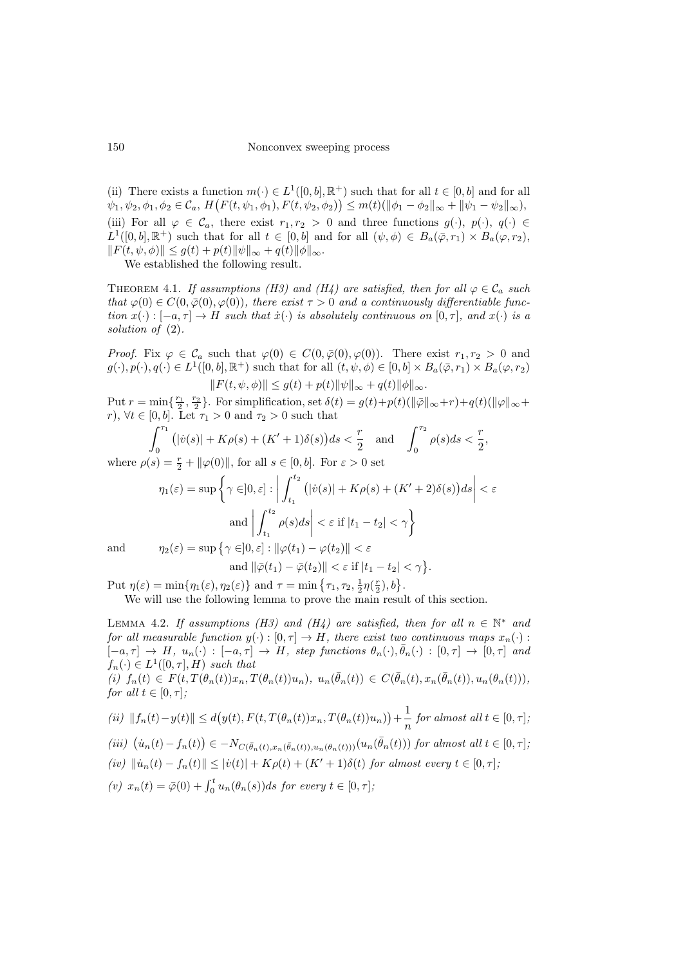(ii) There exists a function  $m(\cdot) \in L^1([0, b], \mathbb{R}^+)$  such that for all  $t \in [0, b]$  and for all  $\psi_1, \psi_2, \phi_1, \phi_2 \in \mathcal{C}_a, H\big(F(t, \psi_1, \phi_1), F(t, \psi_2, \phi_2)\big) \leq m(t) \left( \|\phi_1 - \phi_2\|_{\infty} + \|\psi_1 - \psi_2\|_{\infty} \right),$ (iii) For all  $\varphi \in \mathcal{C}_a$ , there exist  $r_1, r_2 > 0$  and three functions  $g(\cdot), p(\cdot), q(\cdot) \in$  $L^1([0, b], \mathbb{R}^+)$  such that for all  $t \in [0, b]$  and for all  $(\psi, \phi) \in B_a(\overline{\varphi}, r_1) \times B_a(\varphi, r_2)$ ,  $||F(t, \psi, \phi)|| \leq g(t) + p(t)||\psi||_{\infty} + q(t)||\phi||_{\infty}.$ 

We established the following result.

<span id="page-9-0"></span>THEOREM 4.1. If assumptions [\(H3\)](#page-8-1) and [\(H4\)](#page-8-2) are satisfied, then for all  $\varphi \in \mathcal{C}_a$  such that  $\varphi(0) \in C(0, \bar{\varphi}(0), \varphi(0))$ , there exist  $\tau > 0$  and a continuously differentiable function  $x(\cdot) : [-a, \tau] \to H$  such that  $\dot{x}(\cdot)$  is absolutely continuous on  $[0, \tau]$ , and  $x(\cdot)$  is a solution of  $(2)$ .

*Proof.* Fix  $\varphi \in C_a$  such that  $\varphi(0) \in C(0, \overline{\varphi}(0), \varphi(0))$ . There exist  $r_1, r_2 > 0$  and  $g(\cdot), p(\cdot), q(\cdot) \in L^1([0, b], \mathbb{R}^+)$  such that for all  $(t, \psi, \phi) \in [0, b] \times B_a(\overline{\varphi}, r_1) \times B_a(\varphi, r_2)$  $||F(t, \psi, \phi)|| \leq g(t) + p(t)||\psi||_{\infty} + q(t)||\phi||_{\infty}.$ 

Put  $r = \min\{\frac{r_1}{2}, \frac{r_2}{2}\}\$ . For simplification, set  $\delta(t) = g(t) + p(t)(\|\bar{\varphi}\|_{\infty} + r) + q(t)(\|\varphi\|_{\infty} + r)$ r),  $\forall t \in [0, b]$ . Let  $\tau_1 > 0$  and  $\tau_2 > 0$  such that

$$
\int_0^{\tau_1} (|\dot{v}(s)| + K\rho(s) + (K' + 1)\delta(s)) ds < \frac{r}{2} \quad \text{and} \quad \int_0^{\tau_2} \rho(s) ds < \frac{r}{2},
$$

where  $\rho(s) = \frac{r}{2} + ||\varphi(0)||$ , for all  $s \in [0, b]$ . For  $\varepsilon > 0$  set

$$
\eta_1(\varepsilon) = \sup \left\{ \gamma \in ]0, \varepsilon] : \left| \int_{t_1}^{t_2} \left( |v(s)| + K\rho(s) + (K' + 2)\delta(s) \right) ds \right| < \varepsilon
$$
\n
$$
\text{and} \left| \int_{t_1}^{t_2} \rho(s) ds \right| < \varepsilon \text{ if } |t_1 - t_2| < \gamma \right\}
$$
\n
$$
\text{and} \qquad \eta_2(\varepsilon) = \sup \left\{ \gamma \in ]0, \varepsilon] : \|\varphi(t_1) - \varphi(t_2)\| < \varepsilon
$$

and 
$$
\|\overline{\varphi}(t_1) - \overline{\varphi}(t_2)\| < \varepsilon
$$
 if  $|t_1 - t_2| < \gamma$ .

Put  $\eta(\varepsilon) = \min\{\eta_1(\varepsilon), \eta_2(\varepsilon)\}\$ and  $\tau = \min\{\tau_1, \tau_2, \frac{1}{2}\eta(\frac{r}{2}), b\}.$ 

We will use the following lemma to prove the main result of this section.

<span id="page-9-1"></span>LEMMA 4.2. If assumptions [\(H3\)](#page-8-1) and [\(H4\)](#page-8-2) are satisfied, then for all  $n \in \mathbb{N}^*$  and for all measurable function  $y(\cdot): [0, \tau] \to H$ , there exist two continuous maps  $x_n(\cdot)$ :  $[-a, \tau] \rightarrow H$ ,  $u_n(\cdot) : [-a, \tau] \rightarrow H$ , step functions  $\theta_n(\cdot), \bar{\theta}_n(\cdot) : [0, \tau] \rightarrow [0, \tau]$  and  $f_n(\cdot) \in L^1([0,\tau],H)$  such that  $(i)$   $f_n(t) \in F(t, T(\theta_n(t))x_n, T(\theta_n(t))u_n), u_n(\bar{\theta}_n(t)) \in C(\bar{\theta}_n(t), x_n(\bar{\theta}_n(t)), u_n(\theta_n(t))),$ for all  $t \in [0, \tau]$ ;

<span id="page-9-4"></span><span id="page-9-2"></span>
$$
(ii) \|f_n(t) - y(t)\| \le d\big(y(t), F(t, T(\theta_n(t))x_n, T(\theta_n(t))u_n)\big) + \frac{1}{n} \text{ for almost all } t \in [0, \tau];
$$

$$
(iii) \ (\dot{u}_n(t) - f_n(t)) \in -N_{C(\bar{\theta}_n(t),x_n(\bar{\theta}_n(t)),u_n(\theta_n(t)))}(u_n(\bar{\theta}_n(t))) \text{ for almost all } t \in [0,\tau];
$$

<span id="page-9-3"></span>
$$
(iv) \ \left\| \dot{u}_n(t) - f_n(t) \right\| \leq |\dot{v}(t)| + K\rho(t) + (K' + 1)\delta(t) \ \textit{for almost every } t \in [0, \tau];
$$

(v) 
$$
x_n(t) = \overline{\varphi}(0) + \int_0^t u_n(\theta_n(s))ds
$$
 for every  $t \in [0, \tau]$ ;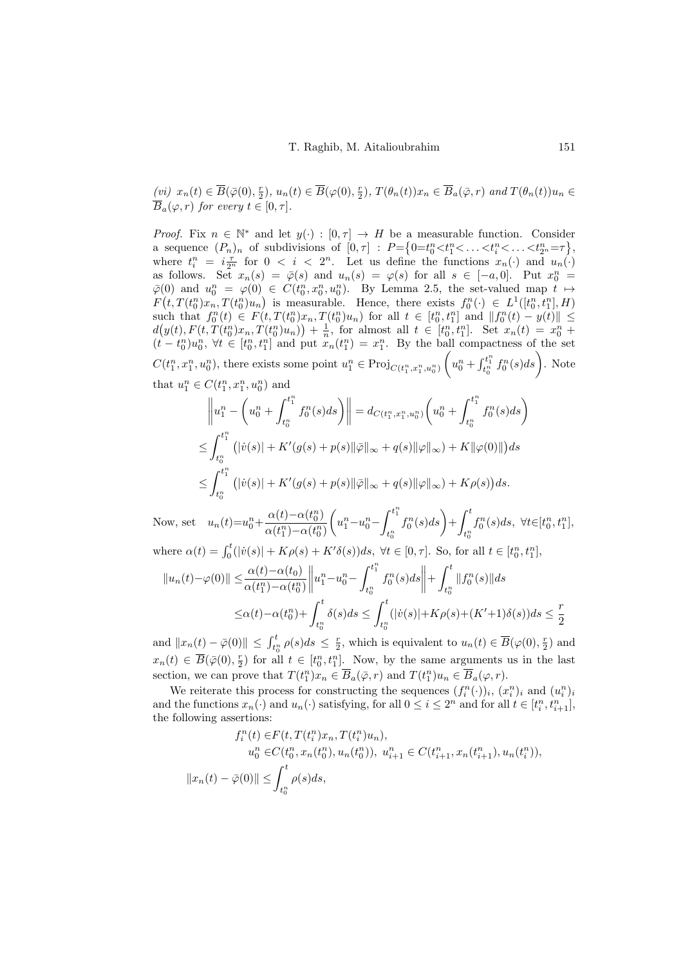<span id="page-10-0"></span>(vi)  $x_n(t) \in \overline{B}(\overline{\varphi}(0), \frac{r}{2}), u_n(t) \in \overline{B}(\varphi(0), \frac{r}{2}), T(\theta_n(t))x_n \in \overline{B}_a(\overline{\varphi}, r)$  and  $T(\theta_n(t))u_n \in$  $\overline{B}_a(\varphi, r)$  for every  $t \in [0, \tau]$ .

*Proof.* Fix  $n \in \mathbb{N}^*$  and let  $y(\cdot) : [0, \tau] \to H$  be a measurable function. Consider a sequence  $(P_n)_n$  of subdivisions of  $[0, \tau] : P = \left\{0 = t_0^n < t_1^n < \ldots < t_2^n = \tau \right\},\$ where  $t_i^n = i \frac{\tau}{2^n}$  for  $0 \le i \le 2^n$ . Let us define the functions  $x_n(\cdot)$  and  $u_n(\cdot)$ as follows. Set  $x_n(s) = \overline{\varphi}(s)$  and  $u_n(s) = \varphi(s)$  for all  $s \in [-a, 0]$ . Put  $x_0^n =$  $\bar{\varphi}(0)$  and  $u_0^n = \varphi(0) \in C(t_0^n, x_0^n, u_0^n)$ . By Lemma [2.5,](#page-3-5) the set-valued map  $t \mapsto$  $F(t,T(t_0^n)x_n,T(t_0^n)u_n)$  is measurable. Hence, there exists  $f_0^n(\cdot) \in L^1([t_0^n,t_1^n],H)$ such that  $f_0^n(t) \in F(t, T(t_0^n)x_n, T(t_0^n)u_n)$  for all  $t \in [t_0^n, t_1^n]$  and  $||f_0^n(t) - y(t)|| \le$  $d(y(t), F(t, T(t_0^n)x_n, T(t_0^n)u_n)) + \frac{1}{n}$ , for almost all  $t \in [t_0^n, t_1^n]$ . Set  $x_n(t) = x_0^n +$  $(t-t_0^n)u_0^n, \forall t \in [t_0^n,t_1^n]$  and put  $x_n(t_1^n)=x_1^n$ . By the ball compactness of the set  $C(t_1^n, x_1^n, u_0^n)$ , there exists some point  $u_1^n \in \text{Proj}_{C(t_1^n, x_1^n, u_0^n)}$  $\left(u_0^n + \int_{t_0^n}^{t_1^n} f_0^n(s) ds\right)$ . Note

that 
$$
u_1^n \in C(t_1^n, x_1^n, u_0^n)
$$
 and  
\n
$$
\parallel n \qquad \left( n \qquad t_1^n \right)
$$

$$
\left\|u_{1}^{n} - \left(u_{0}^{n} + \int_{t_{0}^{n}}^{t_{1}^{n}} f_{0}^{n}(s)ds\right)\right\| = d_{C(t_{1}^{n}, x_{1}^{n}, u_{0}^{n})} \left(u_{0}^{n} + \int_{t_{0}^{n}}^{t_{1}^{n}} f_{0}^{n}(s)ds\right)
$$
  

$$
\leq \int_{t_{0}^{n}}^{t_{1}^{n}} \left(|v(s)| + K'(g(s) + p(s)||\overline{\varphi}\|_{\infty} + q(s)||\varphi\|_{\infty}\right) + K\|\varphi(0)\|\right)ds
$$
  

$$
\leq \int_{t_{0}^{n}}^{t_{1}^{n}} \left(|v(s)| + K'(g(s) + p(s)||\overline{\varphi}\|_{\infty} + q(s)||\varphi\|_{\infty}\right) + K\rho(s)\right)ds.
$$

Now, set  $u_n(t)=u_0^n+\frac{\alpha(t)-\alpha(t_0^n)}{\alpha(t^n)-\alpha(t_n^n)}$  $\alpha(t_1^n) {-} \alpha(t_0^n)$  $\left(u_1^n-u_0^n\right)$  $\int_0^{t_1^n}$  $t_0^n$  $f_0^n(s)ds$  +  $\int_0^t$  $t_0^n$  $f_0^n(s)ds, \ \forall t \in [t_0^n, t_1^n],$ 

where 
$$
\alpha(t) = \int_0^t (|\dot{v}(s)| + K\rho(s) + K'\delta(s))ds
$$
,  $\forall t \in [0, \tau]$ . So, for all  $t \in [t_0^n, t_1^n]$ ,  
\n
$$
||u_n(t) - \varphi(0)|| \leq \frac{\alpha(t) - \alpha(t_0)}{\alpha(t_1^n) - \alpha(t_0^n)} ||u_1^n - u_0^n - \int_{t_0^n}^{t_1^n} f_0^n(s)ds|| + \int_{t_0^n}^t ||f_0^n(s)||ds
$$
\n
$$
\leq \alpha(t) - \alpha(t_0^n) + \int_0^t \delta(s)ds \leq \int_0^t (|v(s)| + K\rho(s) + (K' + 1)\delta(s))ds \leq \frac{r}{2}
$$

 $t_0^n$  $t_0^n$ 2 and  $||x_n(t) - \bar{\varphi}(0)|| \leq \int_{t_0^n}^t \rho(s)ds \leq \frac{r}{2}$ , which is equivalent to  $u_n(t) \in \overline{B}(\varphi(0), \frac{r}{2})$  and  $x_n(t) \in \overline{B}(\overline{\varphi}(0), \frac{r}{2})$  for all  $t \in [t_0^n, t_1^n]$ . Now, by the same arguments us in the last section, we can prove that  $T(t_1^n)x_n \in \overline{B}_a(\overline{\varphi}, r)$  and  $T(t_1^n)u_n \in \overline{B}_a(\varphi, r)$ .

We reiterate this process for constructing the sequences  $(f_i^n(\cdot))_i, (x_i^n)_i$  and  $(u_i^n)_i$ and the functions  $x_n(\cdot)$  and  $u_n(\cdot)$  satisfying, for all  $0 \leq i \leq 2^n$  and for all  $t \in [t_i^n, t_{i+1}^n]$ , the following assertions:

$$
f_i^n(t) \in F(t, T(t_i^n)x_n, T(t_i^n)u_n),
$$
  
\n
$$
u_0^n \in C(t_0^n, x_n(t_0^n), u_n(t_0^n)), u_{i+1}^n \in C(t_{i+1}^n, x_n(t_{i+1}^n), u_n(t_i^n)),
$$
  
\n
$$
||x_n(t) - \bar{\varphi}(0)|| \le \int_{t_0^n}^t \rho(s)ds,
$$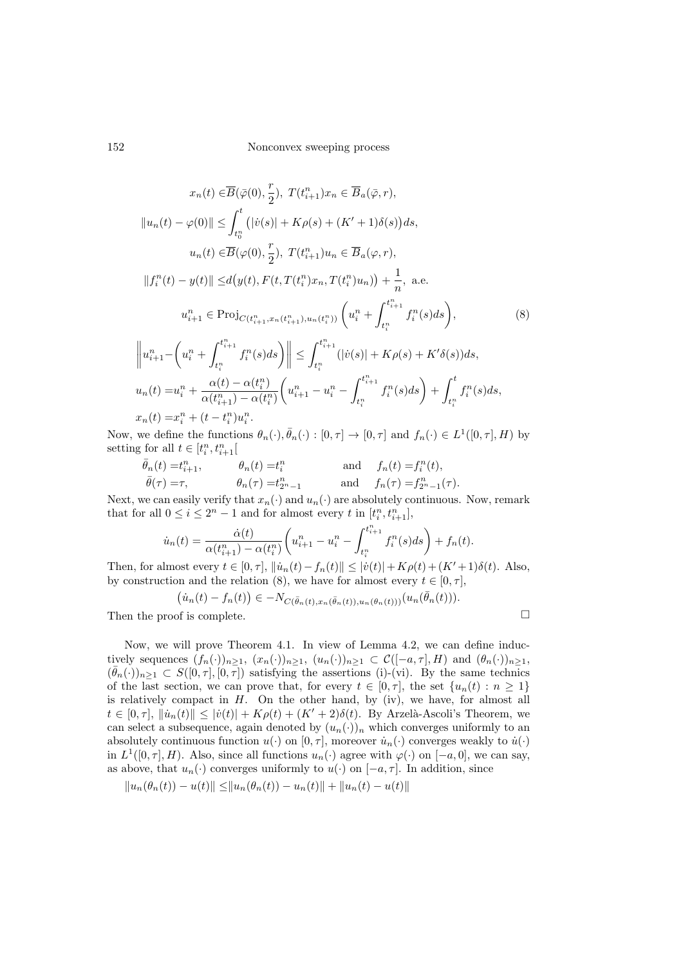$$
x_n(t) \in \overline{B}(\bar{\varphi}(0), \frac{r}{2}), T(t_{i+1}^n)x_n \in \overline{B}_a(\bar{\varphi}, r),
$$
  
\n
$$
||u_n(t) - \varphi(0)|| \le \int_{t_0^n}^t (|\dot{v}(s)| + K\rho(s) + (K' + 1)\delta(s))ds,
$$
  
\n
$$
u_n(t) \in \overline{B}(\varphi(0), \frac{r}{2}), T(t_{i+1}^n)u_n \in \overline{B}_a(\varphi, r),
$$
  
\n
$$
||f_i^n(t) - y(t)|| \le d(y(t), F(t, T(t_i^n)x_n, T(t_i^n)u_n)) + \frac{1}{n}, \text{ a.e.}
$$
  
\n
$$
u_{i+1}^n \in \text{Proj}_{C(t_{i+1}^n, x_n(t_{i+1}^n), u_n(t_i^n))} \left(u_i^n + \int_{t_i^n}^{t_{i+1}^n} f_i^n(s)ds\right),
$$
  
\n
$$
||n_n - (n_n + \int_{t_{i+1}^n}^{t_{i+1}^n} f_i^n(s) ds) || \le \int_{t_i^n}^{t_{i+1}^n} f_i^n(s) ds + K(s) + K(s) \le C
$$

<span id="page-11-0"></span>
$$
\left\|u_{i+1}^n - \left(u_i^n + \int_{t_i^n}^{t_{i+1}^n} f_i^n(s)ds\right)\right\| \le \int_{t_i^n}^{t_{i+1}^n} (|v(s)| + K\rho(s) + K'\delta(s))ds,
$$
  

$$
u_n(t) = u_i^n + \frac{\alpha(t) - \alpha(t_i^n)}{\alpha(t_{i+1}^n) - \alpha(t_i^n)} \left(u_{i+1}^n - u_i^n - \int_{t_i^n}^{t_{i+1}^n} f_i^n(s)ds\right) + \int_{t_i^n}^t f_i^n(s)ds,
$$
  

$$
x_n(t) = x_i^n + (t - t_i^n)u_i^n.
$$

Now, we define the functions  $\theta_n(\cdot), \bar{\theta}_n(\cdot) : [0, \tau] \to [0, \tau]$  and  $f_n(\cdot) \in L^1([0, \tau], H)$  by setting for all  $t \in [t_i^n, t_{i+1}^n]$ 

$$
\bar{\theta}_n(t) = t_{i+1}^n, \qquad \theta_n(t) = t_i^n \qquad \text{and} \qquad f_n(t) = f_i^n(t),
$$
  

$$
\bar{\theta}(\tau) = \tau, \qquad \theta_n(\tau) = t_{2^n - 1}^n \qquad \text{and} \qquad f_n(\tau) = f_{2^n - 1}^n(\tau).
$$

Next, we can easily verify that  $x_n(\cdot)$  and  $u_n(\cdot)$  are absolutely continuous. Now, remark that for all  $0 \leq i \leq 2^n - 1$  and for almost every t in  $[t_i^n, t_{i+1}^n]$ ,

$$
\dot{u}_n(t) = \frac{\dot{\alpha}(t)}{\alpha(t_{i+1}^n) - \alpha(t_i^n)} \left( u_{i+1}^n - u_i^n - \int_{t_i^n}^{t_{i+1}^n} f_i^n(s) ds \right) + f_n(t).
$$

Then, for almost every  $t \in [0, \tau]$ ,  $\|\dot{u}_n(t) - f_n(t)\| \leq |\dot{v}(t)| + K\rho(t) + (K' + 1)\delta(t)$ . Also, by construction and the relation [\(8\)](#page-11-0), we have for almost every  $t \in [0, \tau]$ ,

$$
(i_n(t) - f_n(t)) \in -N_{C(\bar{\theta}_n(t), x_n(\bar{\theta}_n(t)), u_n(\theta_n(t)))}(u_n(\bar{\theta}_n(t))).
$$
  
Then the proof is complete.

Now, we will prove Theorem [4.1.](#page-9-0) In view of Lemma [4.2,](#page-9-1) we can define inductively sequences  $(f_n(\cdot))_{n\geq 1}$ ,  $(x_n(\cdot))_{n\geq 1}$ ,  $(u_n(\cdot))_{n\geq 1} \subset \mathcal{C}([-a,\tau],H)$  and  $(\theta_n(\cdot))_{n\geq 1}$ ,  $(\bar{\theta}_n(\cdot))_{n\geq 1} \subset S([0,\tau], [0,\tau])$  satisfying the assertions [\(i\)](#page-9-2)[-\(vi\).](#page-10-0) By the same technics of the last section, we can prove that, for every  $t \in [0, \tau]$ , the set  $\{u_n(t) : n \geq 1\}$ is relatively compact in  $H$ . On the other hand, by [\(iv\),](#page-9-3) we have, for almost all  $t \in [0, \tau], ||\dot{u}_n(t)|| \leq |\dot{v}(t)| + K\rho(t) + (K' + 2)\delta(t)$ . By Arzelà-Ascoli's Theorem, we can select a subsequence, again denoted by  $(u_n(\cdot))_n$  which converges uniformly to an absolutely continuous function  $u(\cdot)$  on  $[0, \tau]$ , moreover  $\dot{u}_n(\cdot)$  converges weakly to  $\dot{u}(\cdot)$ in  $L^1([0,\tau], H)$ . Also, since all functions  $u_n(\cdot)$  agree with  $\varphi(\cdot)$  on  $[-a, 0]$ , we can say, as above, that  $u_n(\cdot)$  converges uniformly to  $u(\cdot)$  on  $[-a, \tau]$ . In addition, since

$$
||u_n(\theta_n(t)) - u(t)|| \le ||u_n(\theta_n(t)) - u_n(t)|| + ||u_n(t) - u(t)||
$$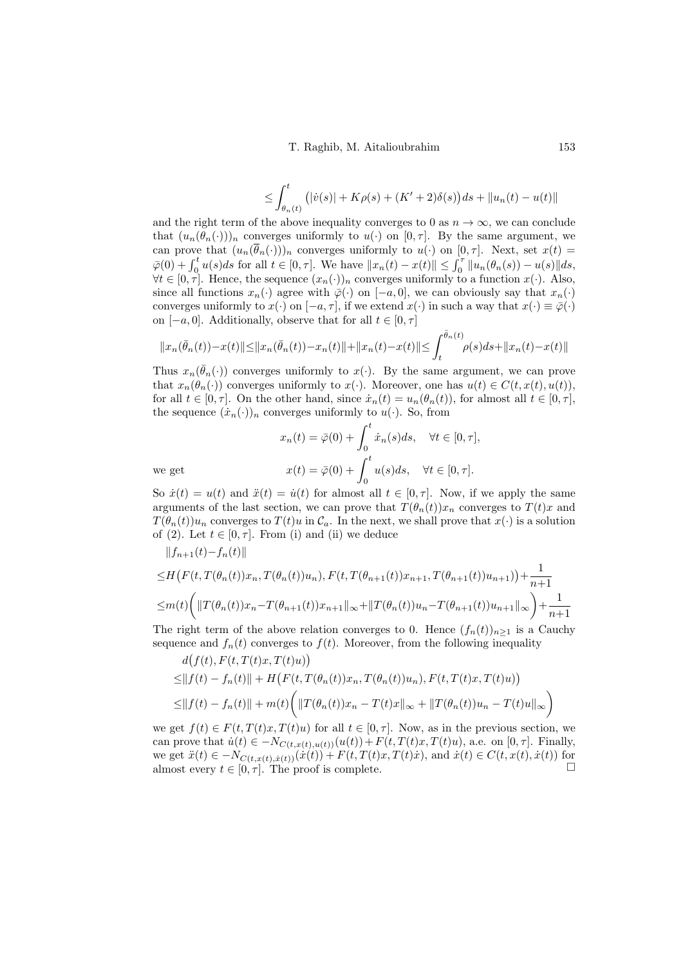$$
\leq \int_{\theta_n(t)}^t (|\dot{v}(s)| + K\rho(s) + (K' + 2)\delta(s))ds + ||u_n(t) - u(t)||
$$

and the right term of the above inequality converges to 0 as  $n \to \infty$ , we can conclude that  $(u_n(\theta_n(\cdot)))_n$  converges uniformly to  $u(\cdot)$  on  $[0, \tau]$ . By the same argument, we can prove that  $(u_n(\bar{\theta}_n(\cdot)))_n$  converges uniformly to  $u(\cdot)$  on  $[0, \tau]$ . Next, set  $x(t)$  $\bar{\varphi}(0) + \int_0^t u(s)ds$  for all  $t \in [0, \tau]$ . We have  $||x_n(t) - x(t)|| \leq \int_0^{\tau} ||u_n(\theta_n(s)) - u(s)|| ds$ ,  $\forall t \in [0, \tau]$ . Hence, the sequence  $(x_n(\cdot))_n$  converges uniformly to a function  $x(\cdot)$ . Also, since all functions  $x_n(\cdot)$  agree with  $\overline{\varphi}(\cdot)$  on  $[-a, 0]$ , we can obviously say that  $x_n(\cdot)$ converges uniformly to  $x(\cdot)$  on  $[-a, \tau]$ , if we extend  $x(\cdot)$  in such a way that  $x(\cdot) \equiv \overline{\varphi}(\cdot)$ on  $[-a, 0]$ . Additionally, observe that for all  $t \in [0, \tau]$ 

$$
||x_n(\bar{\theta}_n(t)) - x(t)|| \le ||x_n(\bar{\theta}_n(t)) - x_n(t)|| + ||x_n(t) - x(t)|| \le \int_t^{\bar{\theta}_n(t)} \rho(s)ds + ||x_n(t) - x(t)||
$$

Thus  $x_n(\bar{\theta}_n(\cdot))$  converges uniformly to  $x(\cdot)$ . By the same argument, we can prove that  $x_n(\theta_n(\cdot))$  converges uniformly to  $x(\cdot)$ . Moreover, one has  $u(t) \in C(t, x(t), u(t)),$ for all  $t \in [0, \tau]$ . On the other hand, since  $\dot{x}_n(t) = u_n(\theta_n(t))$ , for almost all  $t \in [0, \tau]$ , the sequence  $(\dot{x}_n(\cdot))_n$  converges uniformly to  $u(\cdot)$ . So, from

$$
x_n(t) = \bar{\varphi}(0) + \int_0^t \dot{x}_n(s)ds, \quad \forall t \in [0, \tau],
$$
  
we get  

$$
x(t) = \bar{\varphi}(0) + \int_0^t u(s)ds, \quad \forall t \in [0, \tau].
$$

So  $\dot{x}(t) = u(t)$  and  $\ddot{x}(t) = \dot{u}(t)$  for almost all  $t \in [0, \tau]$ . Now, if we apply the same arguments of the last section, we can prove that  $T(\theta_n(t))x_n$  converges to  $T(t)x$  and  $T(\theta_n(t))u_n$  converges to  $T(t)u$  in  $\mathcal{C}_a$ . In the next, we shall prove that  $x(\cdot)$  is a solution of [\(2\)](#page-1-0). Let  $t \in [0, \tau]$ . From [\(i\)](#page-9-2) and [\(ii\)](#page-9-4) we deduce

 $||f_{n+1}(t)-f_n(t)||$ 

$$
\leq H\left(F(t,T(\theta_n(t))x_n,T(\theta_n(t))u_n),F(t,T(\theta_{n+1}(t))x_{n+1},T(\theta_{n+1}(t))u_{n+1})\right)+\frac{1}{n+1}
$$
  

$$
\leq m(t)\left(\|T(\theta_n(t))x_n-T(\theta_{n+1}(t))x_{n+1}\|_{\infty}+\|T(\theta_n(t))u_n-T(\theta_{n+1}(t))u_{n+1}\|_{\infty}\right)+\frac{1}{n+1}
$$

The right term of the above relation converges to 0. Hence  $(f_n(t))_{n>1}$  is a Cauchy sequence and  $f_n(t)$  converges to  $f(t)$ . Moreover, from the following inequality

$$
d(f(t), F(t, T(t)x, T(t)u))
$$
  
\n
$$
\leq ||f(t) - f_n(t)|| + H(F(t, T(\theta_n(t))x_n, T(\theta_n(t))u_n), F(t, T(t)x, T(t)u))
$$
  
\n
$$
\leq ||f(t) - f_n(t)|| + m(t) \Big( ||T(\theta_n(t))x_n - T(t)x||_{\infty} + ||T(\theta_n(t))u_n - T(t)u||_{\infty} \Big)
$$

we get  $f(t) \in F(t, T(t)x, T(t)u)$  for all  $t \in [0, \tau]$ . Now, as in the previous section, we can prove that  $\dot{u}(t) \in -N_{C(t,x(t),u(t))}(u(t))+F(t,T(t)x,T(t)u)$ , a.e. on  $[0,\tau]$ . Finally, we get  $\ddot{x}(t) \in -N_{C(t,x(t),\dot{x}(t))}(\dot{x}(t)) + F(t,T(t)x,T(t)\dot{x}),$  and  $\dot{x}(t) \in C(t,x(t),\dot{x}(t))$  for almost every  $t \in [0, \tau]$ . The proof is complete.